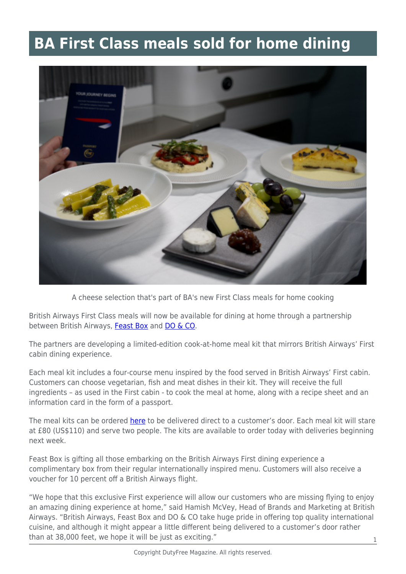## **BA First Class meals sold for home dining**



A cheese selection that's part of BA's new First Class meals for home cooking

British Airways First Class meals will now be available for dining at home through a partnership between British Airways, [Feast Box](https://feastbox.co.uk/) and [DO & CO](https://www.doco.com/).

The partners are developing a limited-edition cook-at-home meal kit that mirrors British Airways' First cabin dining experience.

Each meal kit includes a four-course menu inspired by the food served in British Airways' First cabin. Customers can choose vegetarian, fish and meat dishes in their kit. They will receive the full ingredients – as used in the First cabin - to cook the meal at home, along with a recipe sheet and an information card in the form of a passport.

The meal kits can be ordered [here](https://pressoffice.ba.com/t/t-l-miyltdt-ydllndhhr-y/) to be delivered direct to a customer's door. Each meal kit will stare at £80 (US\$110) and serve two people. The kits are available to order today with deliveries beginning next week.

Feast Box is gifting all those embarking on the British Airways First dining experience a complimentary box from their regular internationally inspired menu. Customers will also receive a voucher for 10 percent off a British Airways flight.

"We hope that this exclusive First experience will allow our customers who are missing flying to enjoy an amazing dining experience at home," said Hamish McVey, Head of Brands and Marketing at British Airways. "British Airways, Feast Box and DO & CO take huge pride in offering top quality international cuisine, and although it might appear a little different being delivered to a customer's door rather than at 38,000 feet, we hope it will be just as exciting."